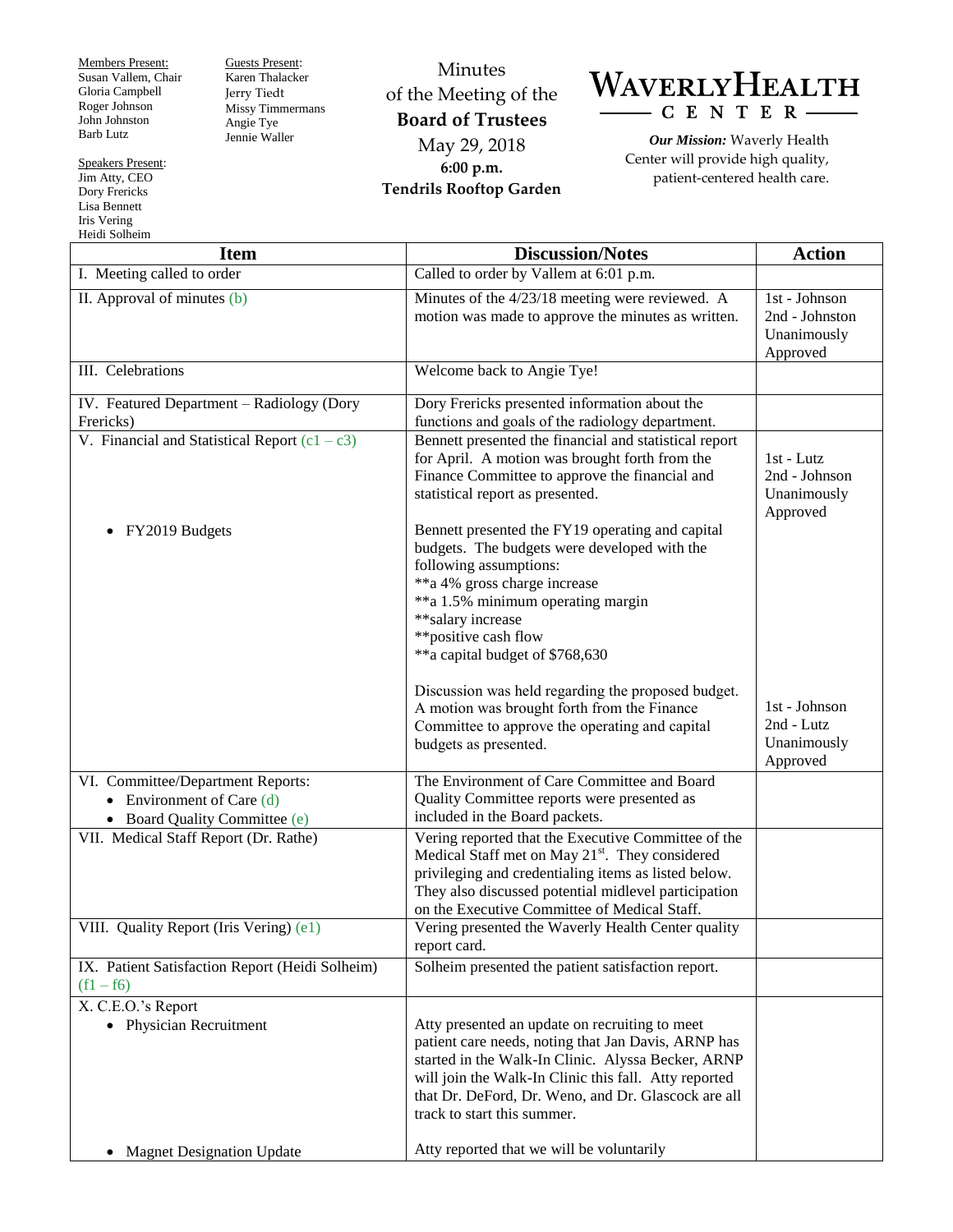Members Present: Susan Vallem, Chair Gloria Campbell Roger Johnson John Johnston Barb Lutz

Guests Present: Karen Thalacker Jerry Tiedt Missy Timmermans Angie Tye Jennie Waller

Minutes of the Meeting of the **Board of Trustees** May 29, 2018 **6:00 p.m. Tendrils Rooftop Garden**



*Our Mission:* Waverly Health Center will provide high quality, patient-centered health care.

| <b>Item</b>                                                                                       | <b>Discussion/Notes</b>                                                                                                                                                                                                                                                                                                                                 | <b>Action</b>                                              |
|---------------------------------------------------------------------------------------------------|---------------------------------------------------------------------------------------------------------------------------------------------------------------------------------------------------------------------------------------------------------------------------------------------------------------------------------------------------------|------------------------------------------------------------|
| I. Meeting called to order                                                                        | Called to order by Vallem at 6:01 p.m.                                                                                                                                                                                                                                                                                                                  |                                                            |
| II. Approval of minutes (b)                                                                       | Minutes of the 4/23/18 meeting were reviewed. A<br>motion was made to approve the minutes as written.                                                                                                                                                                                                                                                   | 1st - Johnson<br>2nd - Johnston<br>Unanimously<br>Approved |
| III. Celebrations                                                                                 | Welcome back to Angie Tye!                                                                                                                                                                                                                                                                                                                              |                                                            |
| IV. Featured Department - Radiology (Dory<br>Frericks)                                            | Dory Frericks presented information about the<br>functions and goals of the radiology department.                                                                                                                                                                                                                                                       |                                                            |
| V. Financial and Statistical Report $(c1 - c3)$                                                   | Bennett presented the financial and statistical report<br>for April. A motion was brought forth from the<br>Finance Committee to approve the financial and<br>statistical report as presented.                                                                                                                                                          | 1st - Lutz<br>2nd - Johnson<br>Unanimously<br>Approved     |
| FY2019 Budgets                                                                                    | Bennett presented the FY19 operating and capital<br>budgets. The budgets were developed with the<br>following assumptions:<br>**a 4% gross charge increase<br>**a 1.5% minimum operating margin<br>** salary increase<br>**positive cash flow<br>**a capital budget of \$768,630                                                                        |                                                            |
|                                                                                                   | Discussion was held regarding the proposed budget.<br>A motion was brought forth from the Finance<br>Committee to approve the operating and capital<br>budgets as presented.                                                                                                                                                                            | 1st - Johnson<br>2nd - Lutz<br>Unanimously<br>Approved     |
| VI. Committee/Department Reports:<br>• Environment of Care $(d)$<br>• Board Quality Committee (e) | The Environment of Care Committee and Board<br>Quality Committee reports were presented as<br>included in the Board packets.                                                                                                                                                                                                                            |                                                            |
| VII. Medical Staff Report (Dr. Rathe)                                                             | Vering reported that the Executive Committee of the<br>Medical Staff met on May 21 <sup>st</sup> . They considered<br>privileging and credentialing items as listed below.<br>They also discussed potential midlevel participation<br>on the Executive Committee of Medical Staff.                                                                      |                                                            |
| VIII. Quality Report (Iris Vering) (e1)                                                           | Vering presented the Waverly Health Center quality<br>report card.                                                                                                                                                                                                                                                                                      |                                                            |
| IX. Patient Satisfaction Report (Heidi Solheim)<br>$(f1 - f6)$                                    | Solheim presented the patient satisfaction report.                                                                                                                                                                                                                                                                                                      |                                                            |
| X. C.E.O.'s Report<br>• Physician Recruitment<br><b>Magnet Designation Update</b><br>$\bullet$    | Atty presented an update on recruiting to meet<br>patient care needs, noting that Jan Davis, ARNP has<br>started in the Walk-In Clinic. Alyssa Becker, ARNP<br>will join the Walk-In Clinic this fall. Atty reported<br>that Dr. DeFord, Dr. Weno, and Dr. Glascock are all<br>track to start this summer.<br>Atty reported that we will be voluntarily |                                                            |

Speakers Present: Jim Atty, CEO Dory Frericks Lisa Bennett Iris Vering Heidi Solheim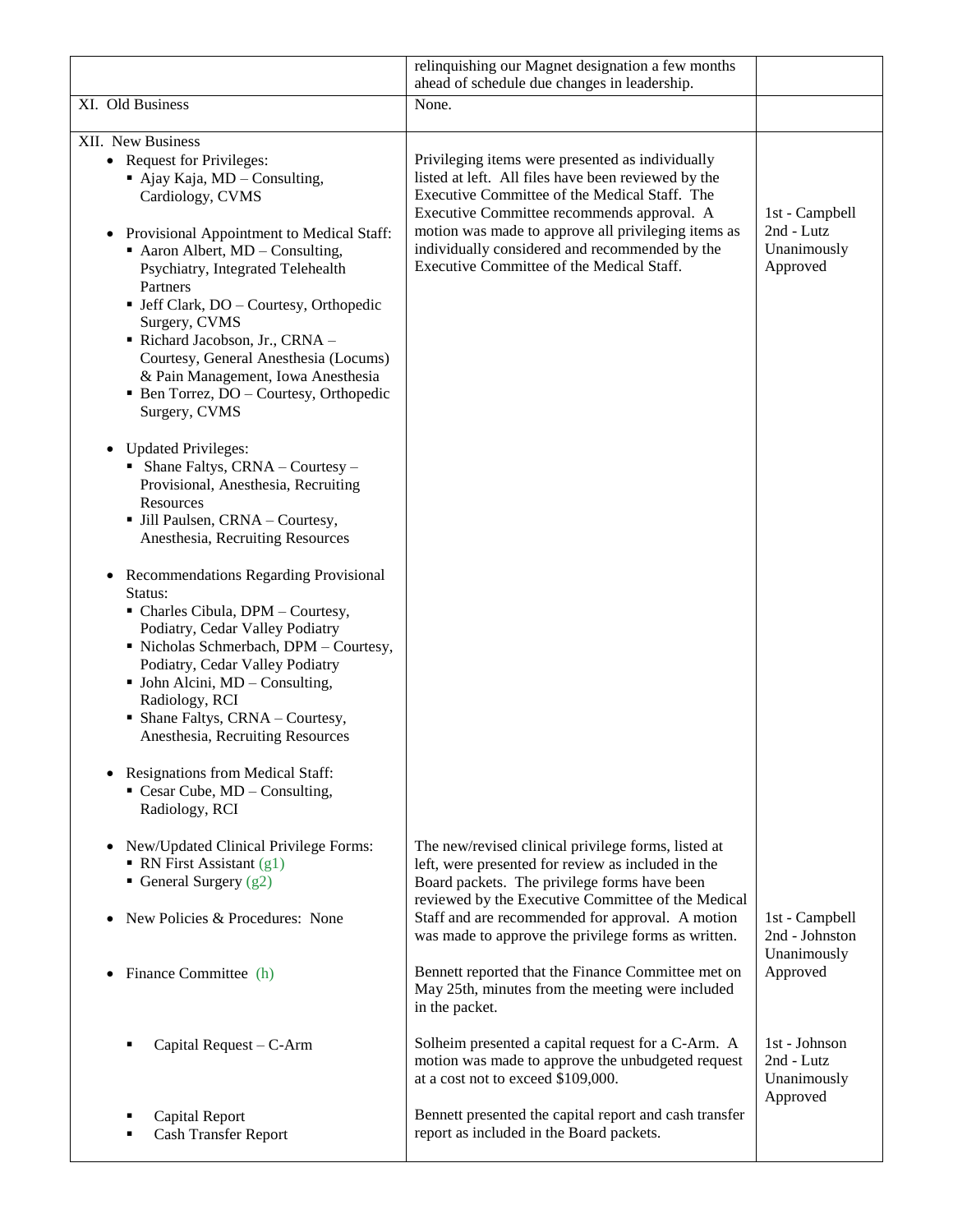|                                                                                                                                                                                                                                                                                                                                                              | relinquishing our Magnet designation a few months<br>ahead of schedule due changes in leadership.                                                                                                                                                                   |                                                        |
|--------------------------------------------------------------------------------------------------------------------------------------------------------------------------------------------------------------------------------------------------------------------------------------------------------------------------------------------------------------|---------------------------------------------------------------------------------------------------------------------------------------------------------------------------------------------------------------------------------------------------------------------|--------------------------------------------------------|
| XI. Old Business                                                                                                                                                                                                                                                                                                                                             | None.                                                                                                                                                                                                                                                               |                                                        |
| XII. New Business                                                                                                                                                                                                                                                                                                                                            |                                                                                                                                                                                                                                                                     |                                                        |
| • Request for Privileges:<br>• Ajay Kaja, MD - Consulting,<br>Cardiology, CVMS                                                                                                                                                                                                                                                                               | Privileging items were presented as individually<br>listed at left. All files have been reviewed by the<br>Executive Committee of the Medical Staff. The<br>Executive Committee recommends approval. A                                                              | 1st - Campbell                                         |
| Provisional Appointment to Medical Staff:<br>$\bullet$<br>$\blacksquare$ Aaron Albert, MD – Consulting,<br>Psychiatry, Integrated Telehealth<br>Partners<br>· Jeff Clark, DO - Courtesy, Orthopedic                                                                                                                                                          | motion was made to approve all privileging items as<br>individually considered and recommended by the<br>Executive Committee of the Medical Staff.                                                                                                                  | 2nd - Lutz<br>Unanimously<br>Approved                  |
| Surgery, CVMS<br>Richard Jacobson, Jr., CRNA -<br>Courtesy, General Anesthesia (Locums)<br>& Pain Management, Iowa Anesthesia<br>• Ben Torrez, DO - Courtesy, Orthopedic<br>Surgery, CVMS                                                                                                                                                                    |                                                                                                                                                                                                                                                                     |                                                        |
| <b>Updated Privileges:</b><br>$\bullet$<br>• Shane Faltys, $CRNA$ – Courtesy –<br>Provisional, Anesthesia, Recruiting<br>Resources<br>• Jill Paulsen, CRNA - Courtesy,<br>Anesthesia, Recruiting Resources                                                                                                                                                   |                                                                                                                                                                                                                                                                     |                                                        |
| Recommendations Regarding Provisional<br>$\bullet$<br>Status:<br>• Charles Cibula, DPM - Courtesy,<br>Podiatry, Cedar Valley Podiatry<br>• Nicholas Schmerbach, DPM - Courtesy,<br>Podiatry, Cedar Valley Podiatry<br>• John Alcini, MD - Consulting,<br>Radiology, RCI<br>$\blacksquare$ Shane Faltys, CRNA – Courtesy,<br>Anesthesia, Recruiting Resources |                                                                                                                                                                                                                                                                     |                                                        |
| <b>Resignations from Medical Staff:</b><br>$\blacksquare$ Cesar Cube, MD – Consulting,<br>Radiology, RCI                                                                                                                                                                                                                                                     |                                                                                                                                                                                                                                                                     |                                                        |
| New/Updated Clinical Privilege Forms:<br>$\bullet$<br>• RN First Assistant $(g1)$<br>General Surgery $(g2)$<br>New Policies & Procedures: None                                                                                                                                                                                                               | The new/revised clinical privilege forms, listed at<br>left, were presented for review as included in the<br>Board packets. The privilege forms have been<br>reviewed by the Executive Committee of the Medical<br>Staff and are recommended for approval. A motion | 1st - Campbell                                         |
| Finance Committee (h)<br>$\bullet$                                                                                                                                                                                                                                                                                                                           | was made to approve the privilege forms as written.<br>Bennett reported that the Finance Committee met on<br>May 25th, minutes from the meeting were included                                                                                                       | 2nd - Johnston<br>Unanimously<br>Approved              |
| Capital Request - C-Arm                                                                                                                                                                                                                                                                                                                                      | in the packet.<br>Solheim presented a capital request for a C-Arm. A<br>motion was made to approve the unbudgeted request<br>at a cost not to exceed \$109,000.                                                                                                     | 1st - Johnson<br>2nd - Lutz<br>Unanimously<br>Approved |
| Capital Report<br><b>Cash Transfer Report</b>                                                                                                                                                                                                                                                                                                                | Bennett presented the capital report and cash transfer<br>report as included in the Board packets.                                                                                                                                                                  |                                                        |